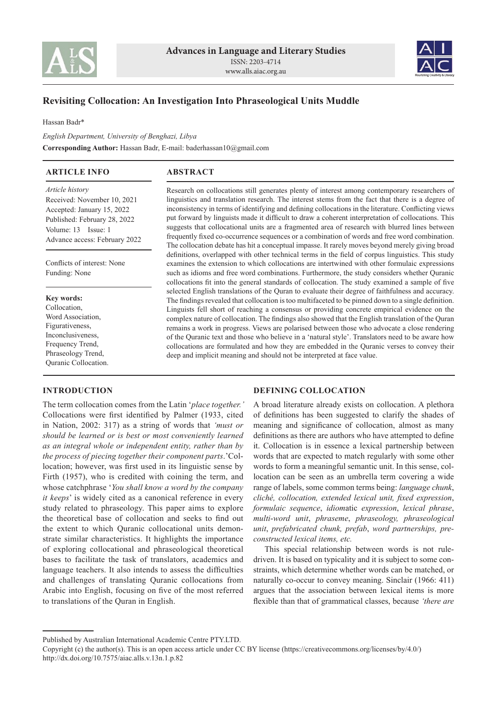



# **Revisiting Collocation: An Investigation Into Phraseological Units Muddle**

Hassan Badr\*

*English Department, University of Benghazi, Libya* **Corresponding Author:** Hassan Badr, E-mail: baderhassan10@gmail.com

### **ARTICLE INFO**

## **ABSTRACT**

*Article history* Received: November 10, 2021 Accepted: January 15, 2022 Published: February 28, 2022 Volume: 13 Issue: 1 Advance access: February 2022

Conflicts of interest: None Funding: None

#### **Key words:**

Collocation, Word Association, Figurativeness, Inconclusiveness, Frequency Trend, Phraseology Trend, Quranic Collocation.

### **INTRODUCTION**

Research on collocations still generates plenty of interest among contemporary researchers of linguistics and translation research. The interest stems from the fact that there is a degree of inconsistency in terms of identifying and defining collocations in the literature. Conflicting views put forward by linguists made it difficult to draw a coherent interpretation of collocations. This suggests that collocational units are a fragmented area of research with blurred lines between frequently fixed co-occurrence sequences or a combination of words and free word combination. The collocation debate has hit a conceptual impasse. It rarely moves beyond merely giving broad definitions, overlapped with other technical terms in the field of corpus linguistics. This study examines the extension to which collocations are intertwined with other formulaic expressions such as idioms and free word combinations. Furthermore, the study considers whether Quranic collocations fit into the general standards of collocation. The study examined a sample of five selected English translations of the Quran to evaluate their degree of faithfulness and accuracy. The findings revealed that collocation is too multifaceted to be pinned down to a single definition. Linguists fell short of reaching a consensus or providing concrete empirical evidence on the complex nature of collocation. The findings also showed that the English translation of the Quran remains a work in progress. Views are polarised between those who advocate a close rendering of the Quranic text and those who believe in a 'natural style'. Translators need to be aware how collocations are formulated and how they are embedded in the Quranic verses to convey their deep and implicit meaning and should not be interpreted at face value.

The term collocation comes from the Latin '*place together.'*  Collocations were first identified by Palmer (1933, cited in Nation, 2002: 317) as a string of words that *'must or should be learned or is best or most conveniently learned as an integral whole or independent entity, rather than by the process of piecing together their component parts*.'Collocation; however, was first used in its linguistic sense by Firth (1957), who is credited with coining the term, and whose catchphrase '*You shall know a word by the company it keeps*' is widely cited as a canonical reference in every study related to phraseology. This paper aims to explore the theoretical base of collocation and seeks to find out the extent to which Quranic collocational units demonstrate similar characteristics. It highlights the importance of exploring collocational and phraseological theoretical bases to facilitate the task of translators, academics and language teachers. It also intends to assess the difficulties and challenges of translating Quranic collocations from Arabic into English, focusing on five of the most referred to translations of the Quran in English.

### **DEFINING COLLOCATION**

A broad literature already exists on collocation. A plethora of definitions has been suggested to clarify the shades of meaning and significance of collocation, almost as many definitions as there are authors who have attempted to define it. Collocation is in essence a lexical partnership between words that are expected to match regularly with some other words to form a meaningful semantic unit. In this sense, collocation can be seen as an umbrella term covering a wide range of labels, some common terms being: *language chunk*, *cliché, collocation, extended lexical unit, fixed expression*, *formulaic sequence*, *idiom*atic *expression*, *lexical phrase*, *multi*-*word unit*, *phraseme*, *phraseology, phraseological unit*, *prefabricated chunk, prefab*, *word partnerships, preconstructed lexical items, etc.*

This special relationship between words is not ruledriven. It is based on typicality and it is subject to some constraints, which determine whether words can be matched, or naturally co-occur to convey meaning. Sinclair (1966: 411) argues that the association between lexical items is more flexible than that of grammatical classes, because *'there are* 

Published by Australian International Academic Centre PTY.LTD.

Copyright (c) the author(s). This is an open access article under CC BY license (https://creativecommons.org/licenses/by/4.0/) http://dx.doi.org/10.7575/aiac.alls.v.13n.1.p.82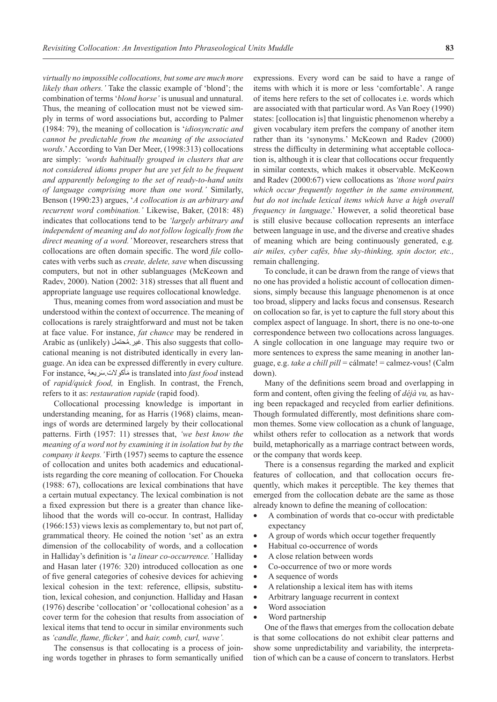*virtually no impossible collocations, but some are much more likely than others.'* Take the classic example of 'blond'; the combination of terms '*blond horse'* is unusual and unnatural. Thus, the meaning of collocation must not be viewed simply in terms of word associations but, according to Palmer (1984: 79), the meaning of collocation is '*idiosyncratic and cannot be predictable from the meaning of the associated words*.' According to Van Der Meer, (1998:313) collocations are simply: *'words habitually grouped in clusters that are not considered idioms proper but are yet felt to be frequent and apparently belonging to the set of ready-to-hand units of language comprising more than one word.'* Similarly, Benson (1990:23) argues, '*A collocation is an arbitrary and recurrent word combination.'* Likewise, Baker, (2018: 48) indicates that collocations tend to be *'largely arbitrary and independent of meaning and do not follow logically from the direct meaning of a word.'* Moreover, researchers stress that collocations are often domain specific. The word *file* collocates with verbs such as *create, delete, save* when discussing computers, but not in other sublanguages (McKeown and Radev, 2000). Nation (2002: 318) stresses that all fluent and appropriate language use requires collocational knowledge.

Thus, meaning comes from word association and must be understood within the context of occurrence. The meaning of collocations is rarely straightforward and must not be taken at face value. For instance, *fat chance* may be rendered in Arabic as (unlikely) محتمل.غير ُ . This also suggests that collocational meaning is not distributed identically in every language. An idea can be expressed differently in every culture. For instance, سريعة.أكوالت َ مَ is translated into *fast food* instead of *rapid/quick food,* in English. In contrast, the French, refers to it as: *restauration rapide* (rapid food).

Collocational processing knowledge is important in understanding meaning, for as Harris (1968) claims, meanings of words are determined largely by their collocational patterns. Firth (1957: 11) stresses that, *'we best know the meaning of a word not by examining it in isolation but by the company it keeps.* 'Firth (1957) seems to capture the essence of collocation and unites both academics and educationalists regarding the core meaning of collocation. For Choueka (1988: 67), collocations are lexical combinations that have a certain mutual expectancy. The lexical combination is not a fixed expression but there is a greater than chance likelihood that the words will co-occur. In contrast, Halliday (1966:153) views lexis as complementary to, but not part of, grammatical theory. He coined the notion 'set' as an extra dimension of the collocability of words, and a collocation in Halliday's definition is '*a linear co-occurrence.'* Halliday and Hasan later (1976: 320) introduced collocation as one of five general categories of cohesive devices for achieving lexical cohesion in the text: reference, ellipsis, substitution, lexical cohesion, and conjunction. Halliday and Hasan (1976) describe 'collocation' or 'collocational cohesion' as a cover term for the cohesion that results from association of lexical items that tend to occur in similar environments such as *'candle, flame, flicker',* and *hair, comb, curl, wave'.*

The consensus is that collocating is a process of joining words together in phrases to form semantically unified

expressions. Every word can be said to have a range of items with which it is more or less 'comfortable'. A range of items here refers to the set of collocates i.e. words which are associated with that particular word. As Van Roey (1990) states: [collocation is] that linguistic phenomenon whereby a given vocabulary item prefers the company of another item rather than its 'synonyms.' McKeown and Radev (2000) stress the difficulty in determining what acceptable collocation is, although it is clear that collocations occur frequently in similar contexts, which makes it observable. McKeown and Radev (2000:67) view collocations as *'those word pairs which occur frequently together in the same environment, but do not include lexical items which have a high overall frequency in language*.' However, a solid theoretical base is still elusive because collocation represents an interface between language in use, and the diverse and creative shades of meaning which are being continuously generated, e.g*. air miles, cyber cafés, blue sky-thinking, spin doctor, etc.,* remain challenging.

To conclude, it can be drawn from the range of views that no one has provided a holistic account of collocation dimensions, simply because this language phenomenon is at once too broad, slippery and lacks focus and consensus. Research on collocation so far, is yet to capture the full story about this complex aspect of language. In short, there is no one-to-one correspondence between two collocations across languages. A single collocation in one language may require two or more sentences to express the same meaning in another language, e.g. *take a chill pill* = cálmate! = calmez-vous! (Calm down).

Many of the definitions seem broad and overlapping in form and content, often giving the feeling of *déjà vu,* as having been repackaged and recycled from earlier definitions. Though formulated differently, most definitions share common themes. Some view collocation as a chunk of language, whilst others refer to collocation as a network that words build, metaphorically as a marriage contract between words, or the company that words keep.

There is a consensus regarding the marked and explicit features of collocation, and that collocation occurs frequently, which makes it perceptible. The key themes that emerged from the collocation debate are the same as those already known to define the meaning of collocation:

- A combination of words that co-occur with predictable expectancy
- A group of words which occur together frequently
- Habitual co-occurrence of words
- A close relation between words
- Co-occurrence of two or more words
- A sequence of words
- A relationship a lexical item has with items
- Arbitrary language recurrent in context
- Word association
- Word partnership

One of the flaws that emerges from the collocation debate is that some collocations do not exhibit clear patterns and show some unpredictability and variability, the interpretation of which can be a cause of concern to translators. Herbst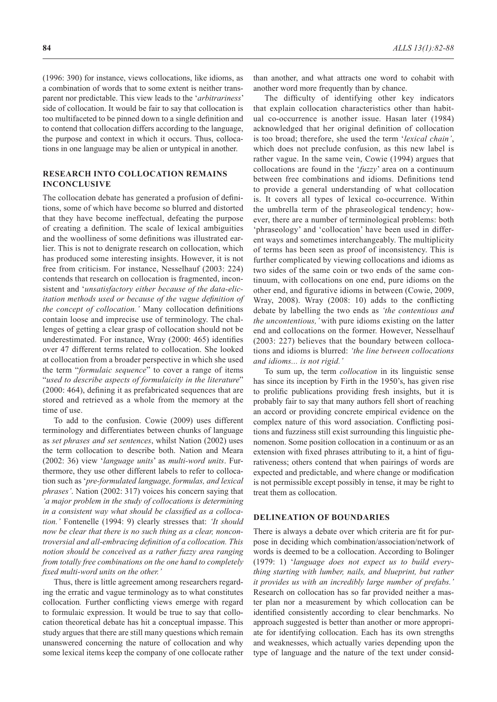(1996: 390) for instance, views collocations, like idioms, as a combination of words that to some extent is neither transparent nor predictable. This view leads to the '*arbitrariness*' side of collocation. It would be fair to say that collocation is too multifaceted to be pinned down to a single definition and to contend that collocation differs according to the language, the purpose and context in which it occurs. Thus, collocations in one language may be alien or untypical in another.

#### **RESEARCH INTO COLLOCATION REMAINS INCONCLUSIVE**

The collocation debate has generated a profusion of definitions, some of which have become so blurred and distorted that they have become ineffectual, defeating the purpose of creating a definition. The scale of lexical ambiguities and the woolliness of some definitions was illustrated earlier. This is not to denigrate research on collocation, which has produced some interesting insights. However, it is not free from criticism. For instance, Nesselhauf (2003: 224) contends that research on collocation is fragmented, inconsistent and '*unsatisfactory either because of the data-elicitation methods used or because of the vague definition of the concept of collocation.'* Many collocation definitions contain loose and imprecise use of terminology. The challenges of getting a clear grasp of collocation should not be underestimated. For instance, Wray (2000: 465) identifies over 47 different terms related to collocation. She looked at collocation from a broader perspective in which she used the term "*formulaic sequence*" to cover a range of items "*used to describe aspects of formulaicity in the literature*" (2000: 464), defining it as prefabricated sequences that are stored and retrieved as a whole from the memory at the time of use.

To add to the confusion. Cowie (2009) uses different terminology and differentiates between chunks of language as *set phrases and set sentences*, whilst Nation (2002) uses the term collocation to describe both. Nation and Meara (2002: 36) view '*language units*' as *multi-word units*. Furthermore, they use other different labels to refer to collocation such as '*pre-formulated language, formulas, and lexical phrases'*. Nation (2002: 317) voices his concern saying that *'a major problem in the study of collocations is determining in a consistent way what should be classified as a collocation.'* Fontenelle (1994: 9) clearly stresses that: *'It should now be clear that there is no such thing as a clear, noncontroversial and all-embracing definition of a collocation. This notion should be conceived as a rather fuzzy area ranging from totally free combinations on the one hand to completely fixed multi-word units on the other.'*

Thus, there is little agreement among researchers regarding the erratic and vague terminology as to what constitutes collocation*.* Further conflicting views emerge with regard to formulaic expression. It would be true to say that collocation theoretical debate has hit a conceptual impasse. This study argues that there are still many questions which remain unanswered concerning the nature of collocation and why some lexical items keep the company of one collocate rather

than another, and what attracts one word to cohabit with another word more frequently than by chance.

The difficulty of identifying other key indicators that explain collocation characteristics other than habitual co-occurrence is another issue. Hasan later (1984) acknowledged that her original definition of collocation is too broad; therefore, she used the term '*lexical chain'*, which does not preclude confusion, as this new label is rather vague. In the same vein, Cowie (1994) argues that collocations are found in the '*fuzzy*' area on a continuum between free combinations and idioms. Definitions tend to provide a general understanding of what collocation is. It covers all types of lexical co-occurrence. Within the umbrella term of the phraseological tendency; however, there are a number of terminological problems: both 'phraseology' and 'collocation' have been used in different ways and sometimes interchangeably. The multiplicity of terms has been seen as proof of inconsistency. This is further complicated by viewing collocations and idioms as two sides of the same coin or two ends of the same continuum, with collocations on one end, pure idioms on the other end, and figurative idioms in between (Cowie, 2009, Wray, 2008). Wray (2008: 10) adds to the conflicting debate by labelling the two ends as *'the contentious and the uncontentious,'* with pure idioms existing on the latter end and collocations on the former. However, Nesselhauf (2003: 227) believes that the boundary between collocations and idioms is blurred: *'the line between collocations and idioms... is not rigid.'*

To sum up, the term *collocation* in its linguistic sense has since its inception by Firth in the 1950's, has given rise to prolific publications providing fresh insights, but it is probably fair to say that many authors fell short of reaching an accord or providing concrete empirical evidence on the complex nature of this word association. Conflicting positions and fuzziness still exist surrounding this linguistic phenomenon. Some position collocation in a continuum or as an extension with fixed phrases attributing to it, a hint of figurativeness; others contend that when pairings of words are expected and predictable, and where change or modification is not permissible except possibly in tense, it may be right to treat them as collocation.

### **DELINEATION OF BOUNDARIES**

There is always a debate over which criteria are fit for purpose in deciding which combination/association/network of words is deemed to be a collocation. According to Bolinger (1979: 1) '*language does not expect us to build everything starting with lumber, nails, and blueprint, but rather it provides us with an incredibly large number of prefabs.'* Research on collocation has so far provided neither a master plan nor a measurement by which collocation can be identified consistently according to clear benchmarks. No approach suggested is better than another or more appropriate for identifying collocation. Each has its own strengths and weaknesses, which actually varies depending upon the type of language and the nature of the text under consid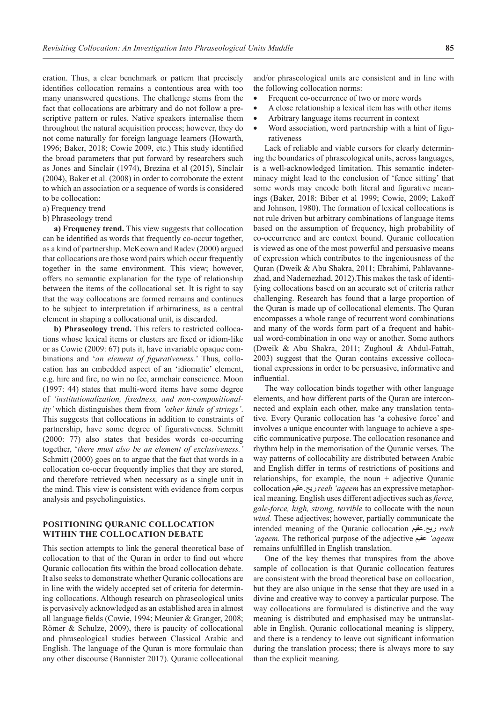eration. Thus, a clear benchmark or pattern that precisely identifies collocation remains a contentious area with too many unanswered questions. The challenge stems from the fact that collocations are arbitrary and do not follow a prescriptive pattern or rules. Native speakers internalise them throughout the natural acquisition process; however, they do not come naturally for foreign language learners (Howarth, 1996; Baker, 2018; Cowie 2009, etc.) This study identified the broad parameters that put forward by researchers such as Jones and Sinclair (1974), Brezina et al (2015), Sinclair (2004), Baker et al. (2008) in order to corroborate the extent to which an association or a sequence of words is considered to be collocation:

- a) Frequency trend
- b) Phraseology trend

**a) Frequency trend.** This view suggests that collocation can be identified as words that frequently co-occur together, as a kind of partnership. McKeown and Radev (2000) argued that collocations are those word pairs which occur frequently together in the same environment. This view; however, offers no semantic explanation for the type of relationship between the items of the collocational set. It is right to say that the way collocations are formed remains and continues to be subject to interpretation if arbitrariness, as a central element in shaping a collocational unit, is discarded.

**b) Phraseology trend.** This refers to restricted collocations whose lexical items or clusters are fixed or idiom-like or as Cowie (2009: 67) puts it, have invariable opaque combinations and '*an element of figurativeness.*' Thus, collocation has an embedded aspect of an 'idiomatic' element, e.g. hire and fire, no win no fee, armchair conscience. Moon (1997: 44) states that multi-word items have some degree of *'institutionalization, fixedness, and non-compositionality'* which distinguishes them from *'other kinds of strings'*. This suggests that collocations in addition to constraints of partnership, have some degree of figurativeness. Schmitt (2000: 77) also states that besides words co-occurring together, '*there must also be an element of exclusiveness.'* Schmitt (2000) goes on to argue that the fact that words in a collocation co-occur frequently implies that they are stored, and therefore retrieved when necessary as a single unit in the mind. This view is consistent with evidence from corpus analysis and psycholinguistics.

### **POSITIONING QURANIC COLLOCATION WITHIN THE COLLOCATION DEBATE**

This section attempts to link the general theoretical base of collocation to that of the Quran in order to find out where Quranic collocation fits within the broad collocation debate. It also seeks to demonstrate whether Quranic collocations are in line with the widely accepted set of criteria for determining collocations. Although research on phraseological units is pervasively acknowledged as an established area in almost all language fields (Cowie, 1994; Meunier & Granger, 2008; Römer & Schulze, 2009), there is paucity of collocational and phraseological studies between Classical Arabic and English. The language of the Quran is more formulaic than any other discourse (Bannister 2017). Quranic collocational

and/or phraseological units are consistent and in line with the following collocation norms:

- Frequent co-occurrence of two or more words
- A close relationship a lexical item has with other items
- Arbitrary language items recurrent in context
- Word association, word partnership with a hint of figurativeness

Lack of reliable and viable cursors for clearly determining the boundaries of phraseological units, across languages, is a well-acknowledged limitation. This semantic indeterminacy might lead to the conclusion of 'fence sitting' that some words may encode both literal and figurative meanings (Baker, 2018; Biber et al 1999; Cowie, 2009; Lakoff and Johnson, 1980). The formation of lexical collocations is not rule driven but arbitrary combinations of language items based on the assumption of frequency, high probability of co-occurrence and are context bound. Quranic collocation is viewed as one of the most powerful and persuasive means of expression which contributes to the ingeniousness of the Quran (Dweik & Abu Shakra, 2011; Ebrahimi, Pahlavannezhad, and Nadernezhad, 2012).This makes the task of identifying collocations based on an accurate set of criteria rather challenging. Research has found that a large proportion of the Quran is made up of collocational elements. The Quran encompasses a whole range of recurrent word combinations and many of the words form part of a frequent and habitual word-combination in one way or another. Some authors (Dweik & Abu Shakra, 2011; Zughoul & Abdul-Fattah, 2003) suggest that the Quran contains excessive collocational expressions in order to be persuasive, informative and influential.

The way collocation binds together with other language elements, and how different parts of the Quran are interconnected and explain each other, make any translation tentative. Every Quranic collocation has 'a cohesive force' and involves a unique encounter with language to achieve a specific communicative purpose. The collocation resonance and rhythm help in the memorisation of the Quranic verses. The way patterns of collocability are distributed between Arabic and English differ in terms of restrictions of positions and relationships, for example, the noun + adjective Quranic collocation عقيم.ريح *reeh 'aqeem* has an expressive metaphorical meaning. English uses different adjectives such as *fierce, gale-force, high, strong, terrible* to collocate with the noun *wind.* These adjectives; however, partially communicate the intended meaning of the Quranic collocation عقيم.ريح *reeh 'aqeem.* The rethorical purpose of the adjective عقيم*' aqeem*  remains unfulfilled in English translation.

One of the key themes that transpires from the above sample of collocation is that Quranic collocation features are consistent with the broad theoretical base on collocation, but they are also unique in the sense that they are used in a divine and creative way to convey a particular purpose. The way collocations are formulated is distinctive and the way meaning is distributed and emphasised may be untranslatable in English. Quranic collocational meaning is slippery, and there is a tendency to leave out significant information during the translation process; there is always more to say than the explicit meaning.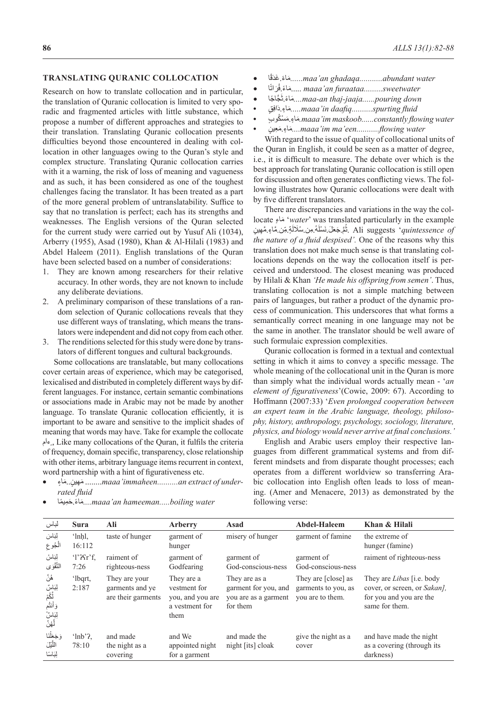#### **TRANSLATING QURANIC COLLOCATION**

Research on how to translate collocation and in particular, the translation of Quranic collocation is limited to very sporadic and fragmented articles with little substance, which propose a number of different approaches and strategies to their translation. Translating Quranic collocation presents difficulties beyond those encountered in dealing with collocation in other languages owing to the Quran's style and complex structure. Translating Quranic collocation carries with it a warning, the risk of loss of meaning and vagueness and as such, it has been considered as one of the toughest challenges facing the translator. It has been treated as a part of the more general problem of untranslatability. Suffice to say that no translation is perfect; each has its strengths and weaknesses. The English versions of the Quran selected for the current study were carried out by Yusuf Ali (1034), Arberry (1955), Asad (1980), Khan & Al-Hilali (1983) and Abdel Haleem (2011). English translations of the Quran have been selected based on a number of considerations:

- 1. They are known among researchers for their relative accuracy. In other words, they are not known to include any deliberate deviations.
- 2. A preliminary comparison of these translations of a random selection of Quranic collocations reveals that they use different ways of translating, which means the translators were independent and did not copy from each other.
- 3. The renditions selected for this study were done by translators of different tongues and cultural backgrounds.

Some collocations are translatable, but many collocations cover certain areas of experience, which may be categorised, lexicalised and distributed in completely different ways by different languages. For instance, certain semantic combinations or associations made in Arabic may not be made by another language. To translate Quranic collocation efficiently, it is important to be aware and sensitive to the implicit shades of meaning that words may have. Take for example the collocate مَءاٍ ٍ. Like many collocations of the Quran, it fulfils the criteria of frequency, domain specific, transparency, close relationship with other items, arbitrary language items recurrent in context, word partnership with a hint of figurativeness etc.

• اءٍ م.. َ ين ٍ هِمَ ........*maaa'immaheen..........an extract of underrated fluid*

- ًا َق غد. َ اء ً مَ *......maa'an ghadaqa...........abundant water*
- ًا َرات ف.اء ً مَ ..... *maaa'an furaataa.........sweetwater* ُ
- َ َّج ً اجا ث.اء ً مَ *....maa-an thaj-jaaja......pouring down*
- ِ ٍق  **•** َاف د.اءٍ مَ *.....maaa'in daafiq..........spurting fluid*
- *water مَ*اءِ مَسْكُوب *im maskoob ......constantly flowing water* .
- **•**  ين ٍ عِم.َ اءٍ مَ *....maaa'im ma'een...........flowing water*

With regard to the issue of quality of collocational units of the Quran in English, it could be seen as a matter of degree, i.e., it is difficult to measure. The debate over which is the best approach for translating Quranic collocation is still open for discussion and often generates conflicting views. The following illustrates how Quranic collocations were dealt with by five different translators.

There are discrepancies and variations in the way the collocate **ٍ**ماءَ' *water*' was translated particularly in the example مُّمَّ جَعَّلَ نَسْلُهُ مِن سُلَالَةٍ مِّن مَّاءٍ مَّهِينٍ  $\Lambda$ li suggests '*quintessence of* ُ *the nature of a fluid despised'.* One of the reasons why this translation does not make much sense is that translating collocations depends on the way the collocation itself is perceived and understood. The closest meaning was produced by Hilali & Khan *'He made his offspring from semen'*. Thus, translating collocation is not a simple matching between pairs of languages, but rather a product of the dynamic process of communication. This underscores that what forms a semantically correct meaning in one language may not be the same in another. The translator should be well aware of such formulaic expression complexities.

Quranic collocation is formed in a textual and contextual setting in which it aims to convey a specific message. The whole meaning of the collocational unit in the Quran is more than simply what the individual words actually mean - '*an element of figurativeness*'(Cowie, 2009: 67). According to Hoffmann (2007:33) '*Even prolonged cooperation between an expert team in the Arabic language, theology, philosophy, history, anthropology, psychology, sociology, literature, physics, and biology would never arrive at final conclusions.'*

English and Arabic users employ their respective languages from different grammatical systems and from different mindsets and from disparate thought processes; each operates from a different worldview so transferring Arabic collocation into English often leads to loss of meaning. (Amer and Menacere, 2013) as demonstrated by the following verse:

*water .....hoiling water....مَ*اءً.حَمِيمًا....*.maaa'an hameeman.....boiling water* 

| لباس                                                           | <b>Sura</b>                | Ali                                                    | Arberry                                                                  | Asad                                                                      | Abdel-Haleem                                                   | Khan & Hilali                                                                                                 |
|----------------------------------------------------------------|----------------------------|--------------------------------------------------------|--------------------------------------------------------------------------|---------------------------------------------------------------------------|----------------------------------------------------------------|---------------------------------------------------------------------------------------------------------------|
| لِبَاسَ<br>الْجُوع                                             | 'lnhl,<br>16:112           | taste of hunger                                        | garment of<br>hunger                                                     | misery of hunger                                                          | garment of famine                                              | the extreme of<br>hunger (famine)                                                                             |
| لِبَاسُ<br>التَّقْوَى                                          | T2<br>7:26                 | raiment of<br>righteous-ness                           | garment of<br>Godfearing                                                 | garment of<br>God-conscious-ness                                          | garment of<br>God-conscious-ness                               | raiment of righteous-ness                                                                                     |
| ۿؙڽٞ<br>لِبَاسٌ<br>لَّكُمْ<br>وَأَنتُم<br>ڶؚڹؘٳڛؙٝٚ<br>ڶٙۿ۪ڽٞؖ | 'lbqrt,<br>2:187           | They are your<br>garments and ye<br>are their garments | They are a<br>vestment for<br>you, and you are<br>a vestment for<br>them | They are as a<br>garment for you, and<br>you are as a garment<br>for them | They are [close] as<br>garments to you, as<br>you are to them. | They are <i>Libas</i> [i.e. body<br>cover, or screen, or Sakan],<br>for you and you are the<br>same for them. |
| وَجَعَلْنَا<br>اللَّيْلَ<br>لِبَاسًا                           | $^{\circ}$ lnb'?.<br>78:10 | and made<br>the night as a<br>covering                 | and We<br>appointed night<br>for a garment                               | and made the<br>night [its] cloak                                         | give the night as a<br>cover                                   | and have made the night<br>as a covering (through its<br>darkness)                                            |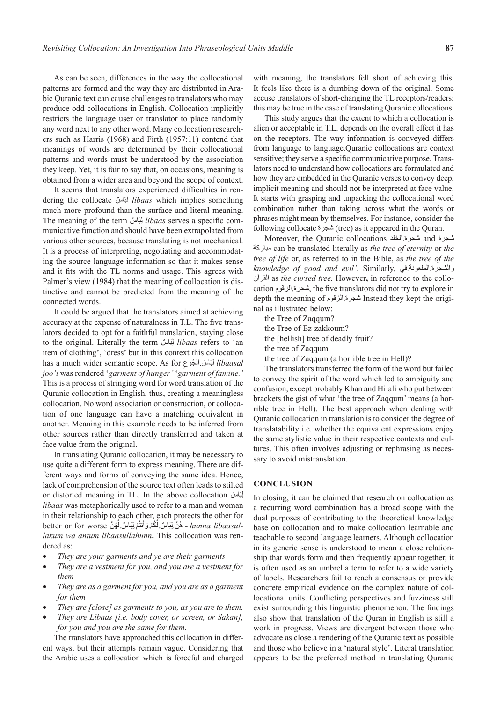As can be seen, differences in the way the collocational patterns are formed and the way they are distributed in Arabic Quranic text can cause challenges to translators who may produce odd collocations in English. Collocation implicitly restricts the language user or translator to place randomly any word next to any other word. Many collocation researchers such as Harris (1968) and Firth (1957:11) contend that meanings of words are determined by their collocational patterns and words must be understood by the association they keep. Yet, it is fair to say that, on occasions, meaning is obtained from a wider area and beyond the scope of context.

It seems that translators experienced difficulties in rendering the collocate لِبَاسٌ *libaas* which implies something much more profound than the surface and literal meaning. The meaning of the term لِمَبَاسٌ *libaas* serves a specific communicative function and should have been extrapolated from various other sources, because translating is not mechanical. It is a process of interpreting, negotiating and accommodating the source language information so that it makes sense and it fits with the TL norms and usage. This agrees with Palmer's view (1984) that the meaning of collocation is distinctive and cannot be predicted from the meaning of the connected words.

It could be argued that the translators aimed at achieving accuracy at the expense of naturalness in T.L. The five translators decided to opt for a faithful translation, staying close to the original. Literally the term لِبَنَاسٌ *libaas* refers to 'an item of clothing', 'dress' but in this context this collocation has a much wider semantic scope. As for ِ ُجوع َ َ اس.ال  *libaasal* ِلب ْ*joo'i* was rendered '*garment of hunger'* '*garment of famine.'*  This is a process of stringing word for word translation of the Quranic collocation in English, thus, creating a meaningless collocation. No word association or construction, or collocation of one language can have a matching equivalent in another. Meaning in this example needs to be inferred from other sources rather than directly transferred and taken at face value from the original.

In translating Quranic collocation, it may be necessary to use quite a different form to express meaning. There are different ways and forms of conveying the same idea. Hence, lack of comprehension of the source text often leads to stilted or distorted meaning in TL. In the above collocation المِبَاسٌ *libaas* was metaphorically used to refer to a man and woman in their relationship to each other, each protects the other for -*hunna libaasul - هُنَّ* لِبَاسٌ لِّكُمْ وَأَنتُمْ لِبَاسٌ لِّهُنَّ better or for worse *lakum wa antum libaasullahunn***.** This collocation was rendered as:

- *They are your garments and ye are their garments*
- *They are a vestment for you, and you are a vestment for them*
- *They are as a garment for you, and you are as a garment for them*
- *They are [close] as garments to you, as you are to them.*
- *They are Libaas [i.e. body cover, or screen, or Sakan], for you and you are the same for them.*

The translators have approached this collocation in different ways, but their attempts remain vague. Considering that the Arabic uses a collocation which is forceful and charged with meaning, the translators fell short of achieving this. It feels like there is a dumbing down of the original. Some accuse translators of short-changing the TL receptors/readers; this may be true in the case of translating Quranic collocations.

This study argues that the extent to which a collocation is alien or acceptable in T.L. depends on the overall effect it has on the receptors. The way information is conveyed differs from language to language.Quranic collocations are context sensitive; they serve a specific communicative purpose. Translators need to understand how collocations are formulated and how they are embedded in the Quranic verses to convey deep, implicit meaning and should not be interpreted at face value. It starts with grasping and unpacking the collocational word combination rather than taking across what the words or phrases might mean by themselves. For instance, consider the following collocate شجرة) tree) as it appeared in the Quran.

Moreover, the Quranic collocations الخلد.شجرة and شجرة مباركة can be translated literally as *the tree of eternity* or *the tree of life* or, as referred to in the Bible, as *the tree of the knowledge of good and evil'.* Similarly, في.الملعونة.والشجرة القرآن as *the cursed tree.* However**,** in reference to the collocation الزقوم.شجرة, the five translators did not try to explore in depth the meaning of الزقوم.شجرة Instead they kept the original as illustrated below:

- the Tree of Zaqqum?
- the Tree of Ez-zakkoum?
- the [hellish] tree of deadly fruit?
- the tree of Zaqqum
- the tree of Zaqqum (a horrible tree in Hell)?

The translators transferred the form of the word but failed to convey the spirit of the word which led to ambiguity and confusion, except probably Khan and Hilali who put between brackets the gist of what 'the tree of Zaqqum' means (a horrible tree in Hell). The best approach when dealing with Quranic collocation in translation is to consider the degree of translatability i.e. whether the equivalent expressions enjoy the same stylistic value in their respective contexts and cultures. This often involves adjusting or rephrasing as necessary to avoid mistranslation.

#### **CONCLUSION**

In closing, it can be claimed that research on collocation as a recurring word combination has a broad scope with the dual purposes of contributing to the theoretical knowledge base on collocation and to make collocation learnable and teachable to second language learners. Although collocation in its generic sense is understood to mean a close relationship that words form and then frequently appear together, it is often used as an umbrella term to refer to a wide variety of labels. Researchers fail to reach a consensus or provide concrete empirical evidence on the complex nature of collocational units. Conflicting perspectives and fuzziness still exist surrounding this linguistic phenomenon. The findings also show that translation of the Quran in English is still a work in progress. Views are divergent between those who advocate as close a rendering of the Quranic text as possible and those who believe in a 'natural style'. Literal translation appears to be the preferred method in translating Quranic